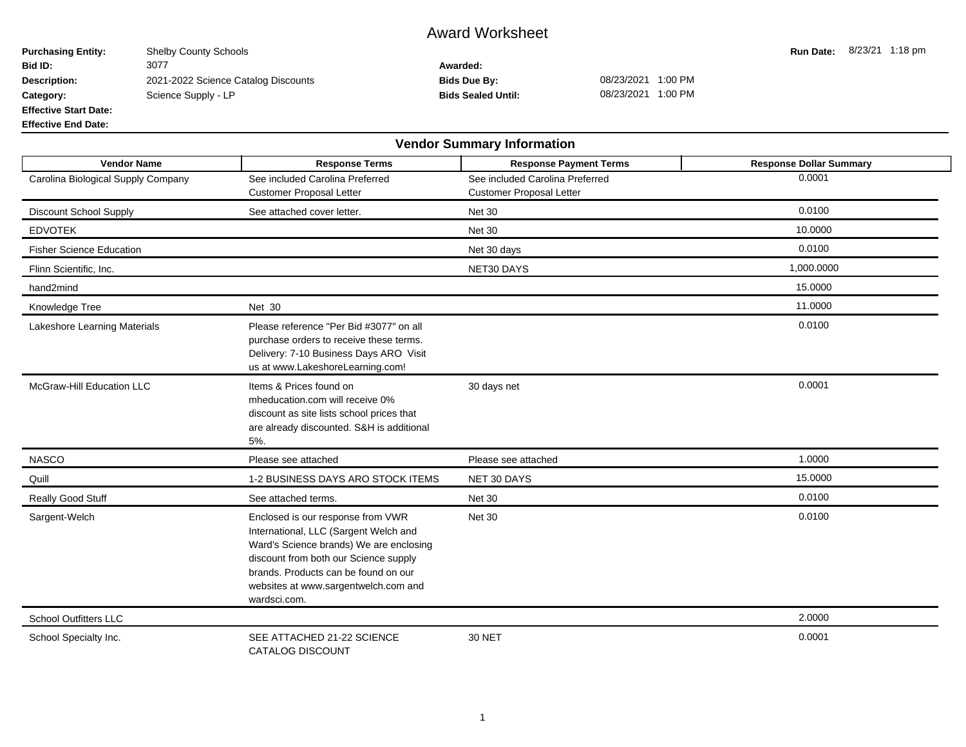## Award Worksheet

**Purchasing Entity:** Shelby County Schools **Run Date:** 8/23/21 1:18 pm<br> **Run Date:** 8/23/21 1:18 pm<br> **Rid ID:** 3077 3077 **Bid ID:** 3077 **Awarded: Description:** 2021-2022 Science Catalog Discounts **Bids Due By:** 08/23/2021 1:00 PM Category: Science Supply - LP **Bids Sealed Until:** 08/23/2021 1:00 PM **Effective Start Date:**

**Effective End Date:**

| <b>Vendor Summary Information</b>  |                                                                                                                                                                                                                                                                |                                                                    |                                |  |  |  |  |  |  |  |
|------------------------------------|----------------------------------------------------------------------------------------------------------------------------------------------------------------------------------------------------------------------------------------------------------------|--------------------------------------------------------------------|--------------------------------|--|--|--|--|--|--|--|
| <b>Vendor Name</b>                 | <b>Response Terms</b>                                                                                                                                                                                                                                          | <b>Response Payment Terms</b>                                      | <b>Response Dollar Summary</b> |  |  |  |  |  |  |  |
| Carolina Biological Supply Company | See included Carolina Preferred<br><b>Customer Proposal Letter</b>                                                                                                                                                                                             | See included Carolina Preferred<br><b>Customer Proposal Letter</b> | 0.0001                         |  |  |  |  |  |  |  |
| <b>Discount School Supply</b>      | See attached cover letter.                                                                                                                                                                                                                                     | <b>Net 30</b>                                                      | 0.0100                         |  |  |  |  |  |  |  |
| <b>EDVOTEK</b>                     |                                                                                                                                                                                                                                                                | <b>Net 30</b>                                                      | 10.0000                        |  |  |  |  |  |  |  |
| <b>Fisher Science Education</b>    |                                                                                                                                                                                                                                                                | Net 30 days                                                        | 0.0100                         |  |  |  |  |  |  |  |
| Flinn Scientific, Inc.             |                                                                                                                                                                                                                                                                | NET30 DAYS                                                         | 1,000.0000                     |  |  |  |  |  |  |  |
| hand2mind                          |                                                                                                                                                                                                                                                                |                                                                    | 15.0000                        |  |  |  |  |  |  |  |
| Knowledge Tree                     | <b>Net 30</b>                                                                                                                                                                                                                                                  |                                                                    | 11.0000                        |  |  |  |  |  |  |  |
| Lakeshore Learning Materials       | Please reference "Per Bid #3077" on all<br>purchase orders to receive these terms.<br>Delivery: 7-10 Business Days ARO Visit<br>us at www.LakeshoreLearning.com!                                                                                               |                                                                    | 0.0100                         |  |  |  |  |  |  |  |
| McGraw-Hill Education LLC          | Items & Prices found on<br>mheducation.com will receive 0%<br>discount as site lists school prices that<br>are already discounted. S&H is additional<br>5%.                                                                                                    | 30 days net                                                        | 0.0001                         |  |  |  |  |  |  |  |
| <b>NASCO</b>                       | Please see attached                                                                                                                                                                                                                                            | Please see attached                                                | 1.0000                         |  |  |  |  |  |  |  |
| Quill                              | 1-2 BUSINESS DAYS ARO STOCK ITEMS                                                                                                                                                                                                                              | NET 30 DAYS                                                        | 15.0000                        |  |  |  |  |  |  |  |
| Really Good Stuff                  | See attached terms.                                                                                                                                                                                                                                            | <b>Net 30</b>                                                      | 0.0100                         |  |  |  |  |  |  |  |
| Sargent-Welch                      | Enclosed is our response from VWR<br>International, LLC (Sargent Welch and<br>Ward's Science brands) We are enclosing<br>discount from both our Science supply<br>brands. Products can be found on our<br>websites at www.sargentwelch.com and<br>wardsci.com. | <b>Net 30</b>                                                      | 0.0100                         |  |  |  |  |  |  |  |
| <b>School Outfitters LLC</b>       |                                                                                                                                                                                                                                                                |                                                                    | 2.0000                         |  |  |  |  |  |  |  |
| School Specialty Inc.              | SEE ATTACHED 21-22 SCIENCE<br>CATALOG DISCOUNT                                                                                                                                                                                                                 | <b>30 NET</b>                                                      | 0.0001                         |  |  |  |  |  |  |  |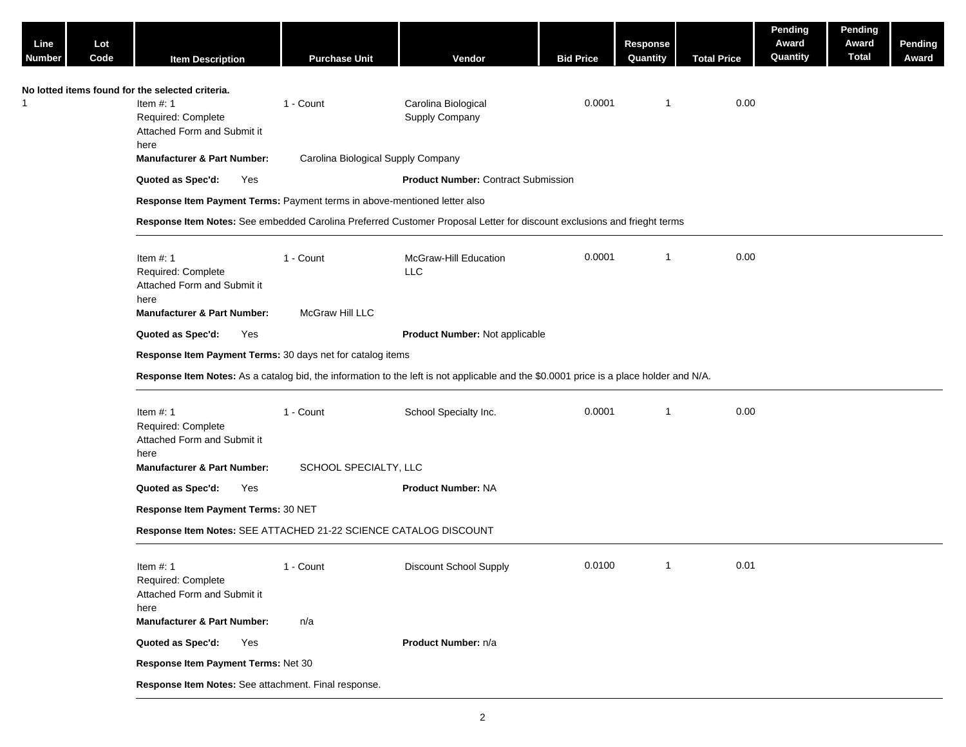| Lot<br>Code<br><b>Item Description</b>                                                                               | <b>Purchase Unit</b>         | Vendor                                | <b>Bid Price</b>                                                                                                                                                                                                                                                           | <b>Response</b><br>Quantity                                                  | <b>Total Price</b> | Pending<br>Award<br>Quantity                                                                                                                                                                                                                                      | Pending<br>Award<br><b>Total</b> | <b>Pending</b><br>Award |
|----------------------------------------------------------------------------------------------------------------------|------------------------------|---------------------------------------|----------------------------------------------------------------------------------------------------------------------------------------------------------------------------------------------------------------------------------------------------------------------------|------------------------------------------------------------------------------|--------------------|-------------------------------------------------------------------------------------------------------------------------------------------------------------------------------------------------------------------------------------------------------------------|----------------------------------|-------------------------|
| No lotted items found for the selected criteria.<br>Item $#: 1$<br>Required: Complete<br>Attached Form and Submit it | 1 - Count                    | Carolina Biological<br>Supply Company | 0.0001                                                                                                                                                                                                                                                                     | -1                                                                           |                    |                                                                                                                                                                                                                                                                   |                                  |                         |
| <b>Manufacturer &amp; Part Number:</b>                                                                               |                              |                                       |                                                                                                                                                                                                                                                                            |                                                                              |                    |                                                                                                                                                                                                                                                                   |                                  |                         |
| Quoted as Spec'd:<br>Yes                                                                                             |                              |                                       |                                                                                                                                                                                                                                                                            |                                                                              |                    |                                                                                                                                                                                                                                                                   |                                  |                         |
|                                                                                                                      |                              |                                       |                                                                                                                                                                                                                                                                            |                                                                              |                    |                                                                                                                                                                                                                                                                   |                                  |                         |
|                                                                                                                      |                              |                                       |                                                                                                                                                                                                                                                                            |                                                                              |                    |                                                                                                                                                                                                                                                                   |                                  |                         |
| Item $#: 1$<br>Required: Complete<br>Attached Form and Submit it<br>here<br><b>Manufacturer &amp; Part Number:</b>   | 1 - Count<br>McGraw Hill LLC | McGraw-Hill Education<br><b>LLC</b>   | 0.0001                                                                                                                                                                                                                                                                     | $\overline{\mathbf{1}}$                                                      |                    |                                                                                                                                                                                                                                                                   |                                  |                         |
| Quoted as Spec'd:<br>Yes                                                                                             |                              |                                       |                                                                                                                                                                                                                                                                            |                                                                              |                    |                                                                                                                                                                                                                                                                   |                                  |                         |
|                                                                                                                      |                              |                                       |                                                                                                                                                                                                                                                                            |                                                                              |                    |                                                                                                                                                                                                                                                                   |                                  |                         |
|                                                                                                                      |                              |                                       |                                                                                                                                                                                                                                                                            |                                                                              |                    |                                                                                                                                                                                                                                                                   |                                  |                         |
| Item $#: 1$<br>Required: Complete<br>Attached Form and Submit it<br>here<br><b>Manufacturer &amp; Part Number:</b>   | 1 - Count                    | School Specialty Inc.                 | 0.0001                                                                                                                                                                                                                                                                     | -1                                                                           |                    |                                                                                                                                                                                                                                                                   |                                  |                         |
| Yes                                                                                                                  |                              | <b>Product Number: NA</b>             |                                                                                                                                                                                                                                                                            |                                                                              |                    |                                                                                                                                                                                                                                                                   |                                  |                         |
|                                                                                                                      |                              |                                       |                                                                                                                                                                                                                                                                            |                                                                              |                    |                                                                                                                                                                                                                                                                   |                                  |                         |
|                                                                                                                      |                              |                                       |                                                                                                                                                                                                                                                                            |                                                                              |                    |                                                                                                                                                                                                                                                                   |                                  |                         |
| Item $#: 1$<br>Required: Complete<br>Attached Form and Submit it<br>here                                             | 1 - Count                    | Discount School Supply                | 0.0100                                                                                                                                                                                                                                                                     | $\mathbf{1}$                                                                 | 0.01               |                                                                                                                                                                                                                                                                   |                                  |                         |
| <b>Manufacturer &amp; Part Number:</b>                                                                               | n/a                          |                                       |                                                                                                                                                                                                                                                                            |                                                                              |                    |                                                                                                                                                                                                                                                                   |                                  |                         |
| Quoted as Spec'd:<br>Yes                                                                                             |                              | Product Number: n/a                   |                                                                                                                                                                                                                                                                            |                                                                              |                    |                                                                                                                                                                                                                                                                   |                                  |                         |
|                                                                                                                      |                              |                                       |                                                                                                                                                                                                                                                                            |                                                                              |                    |                                                                                                                                                                                                                                                                   |                                  |                         |
| Response Item Payment Terms: Net 30                                                                                  |                              |                                       |                                                                                                                                                                                                                                                                            |                                                                              |                    |                                                                                                                                                                                                                                                                   |                                  |                         |
|                                                                                                                      | here<br>Quoted as Spec'd:    | Response Item Payment Terms: 30 NET   | Carolina Biological Supply Company<br>Response Item Payment Terms: Payment terms in above-mentioned letter also<br>Response Item Payment Terms: 30 days net for catalog items<br>SCHOOL SPECIALTY, LLC<br>Response Item Notes: SEE ATTACHED 21-22 SCIENCE CATALOG DISCOUNT | <b>Product Number: Contract Submission</b><br>Product Number: Not applicable |                    | Response Item Notes: See embedded Carolina Preferred Customer Proposal Letter for discount exclusions and frieght terms<br>Response Item Notes: As a catalog bid, the information to the left is not applicable and the \$0.0001 price is a place holder and N/A. | 0.00<br>0.00<br>0.00             |                         |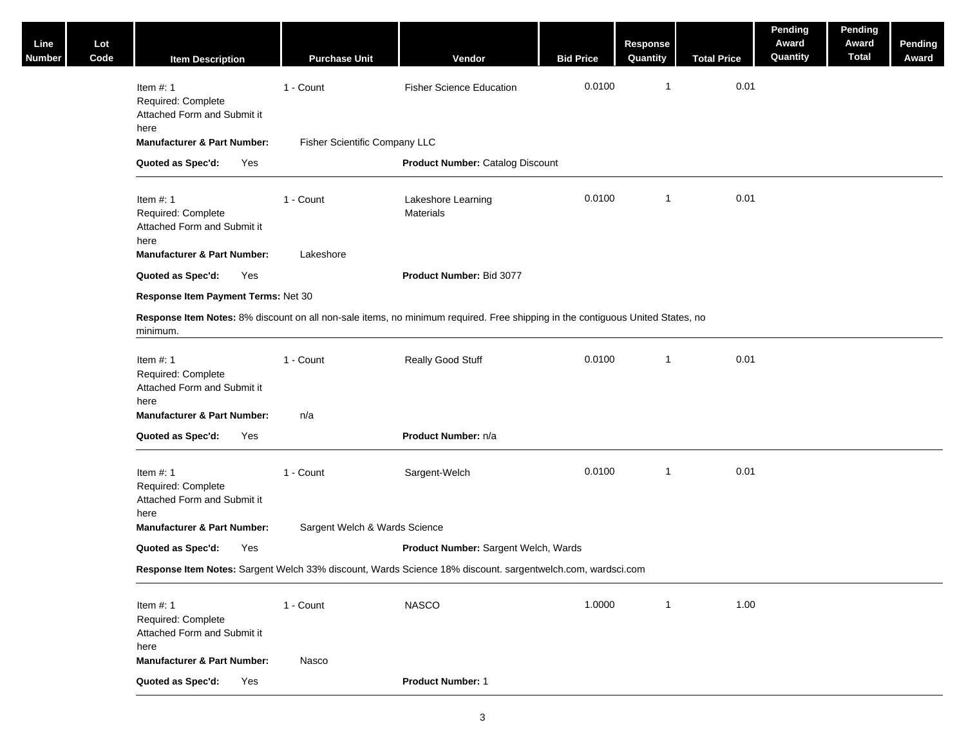| Line<br>Number | Lot<br>Code | <b>Item Description</b>                                                                                                                    | <b>Purchase Unit</b>          | Vendor                                  | <b>Bid Price</b> | Response<br>Quantity | <b>Total Price</b> | Pending<br>Award<br>Quantity | Pending<br>Award<br><b>Total</b> | Pending<br>Award |
|----------------|-------------|--------------------------------------------------------------------------------------------------------------------------------------------|-------------------------------|-----------------------------------------|------------------|----------------------|--------------------|------------------------------|----------------------------------|------------------|
|                |             | Item $#: 1$<br>Required: Complete<br>Attached Form and Submit it<br>here                                                                   | 1 - Count                     | <b>Fisher Science Education</b>         | 0.0100           | $\mathbf{1}$         | 0.01               |                              |                                  |                  |
|                |             | <b>Manufacturer &amp; Part Number:</b>                                                                                                     | Fisher Scientific Company LLC |                                         |                  |                      |                    |                              |                                  |                  |
|                |             | Quoted as Spec'd:<br>Yes                                                                                                                   |                               | <b>Product Number: Catalog Discount</b> |                  |                      |                    |                              |                                  |                  |
|                |             | Item $#: 1$<br>Required: Complete<br>Attached Form and Submit it<br>here                                                                   | 1 - Count                     | Lakeshore Learning<br>Materials         | 0.0100           | $\mathbf{1}$         | 0.01               |                              |                                  |                  |
|                |             | <b>Manufacturer &amp; Part Number:</b>                                                                                                     | Lakeshore                     |                                         |                  |                      |                    |                              |                                  |                  |
|                |             | Quoted as Spec'd:<br>Yes                                                                                                                   |                               | Product Number: Bid 3077                |                  |                      |                    |                              |                                  |                  |
|                |             | Response Item Payment Terms: Net 30                                                                                                        |                               |                                         |                  |                      |                    |                              |                                  |                  |
|                |             | Response Item Notes: 8% discount on all non-sale items, no minimum required. Free shipping in the contiguous United States, no<br>minimum. |                               |                                         |                  |                      |                    |                              |                                  |                  |
|                |             | Item $#: 1$<br>Required: Complete<br>Attached Form and Submit it<br>here                                                                   | 1 - Count                     | Really Good Stuff                       | 0.0100           | $\mathbf{1}$         | 0.01               |                              |                                  |                  |
|                |             | <b>Manufacturer &amp; Part Number:</b>                                                                                                     | n/a                           |                                         |                  |                      |                    |                              |                                  |                  |
|                |             | Quoted as Spec'd:<br>Yes                                                                                                                   |                               | Product Number: n/a                     |                  |                      |                    |                              |                                  |                  |
|                |             | Item $#: 1$<br>Required: Complete<br>Attached Form and Submit it<br>here                                                                   | 1 - Count                     | Sargent-Welch                           | 0.0100           | $\mathbf{1}$         | 0.01               |                              |                                  |                  |
|                |             | <b>Manufacturer &amp; Part Number:</b>                                                                                                     | Sargent Welch & Wards Science |                                         |                  |                      |                    |                              |                                  |                  |
|                |             | Quoted as Spec'd:<br>Yes                                                                                                                   |                               | Product Number: Sargent Welch, Wards    |                  |                      |                    |                              |                                  |                  |
|                |             | Response Item Notes: Sargent Welch 33% discount, Wards Science 18% discount. sargentwelch.com, wardsci.com                                 |                               |                                         |                  |                      |                    |                              |                                  |                  |
|                |             | Item $#: 1$<br>Required: Complete<br>Attached Form and Submit it<br>here                                                                   | 1 - Count                     | <b>NASCO</b>                            | 1.0000           | $\mathbf{1}$         | 1.00               |                              |                                  |                  |
|                |             | <b>Manufacturer &amp; Part Number:</b>                                                                                                     | Nasco                         |                                         |                  |                      |                    |                              |                                  |                  |
|                |             | Quoted as Spec'd:<br>Yes                                                                                                                   |                               | <b>Product Number: 1</b>                |                  |                      |                    |                              |                                  |                  |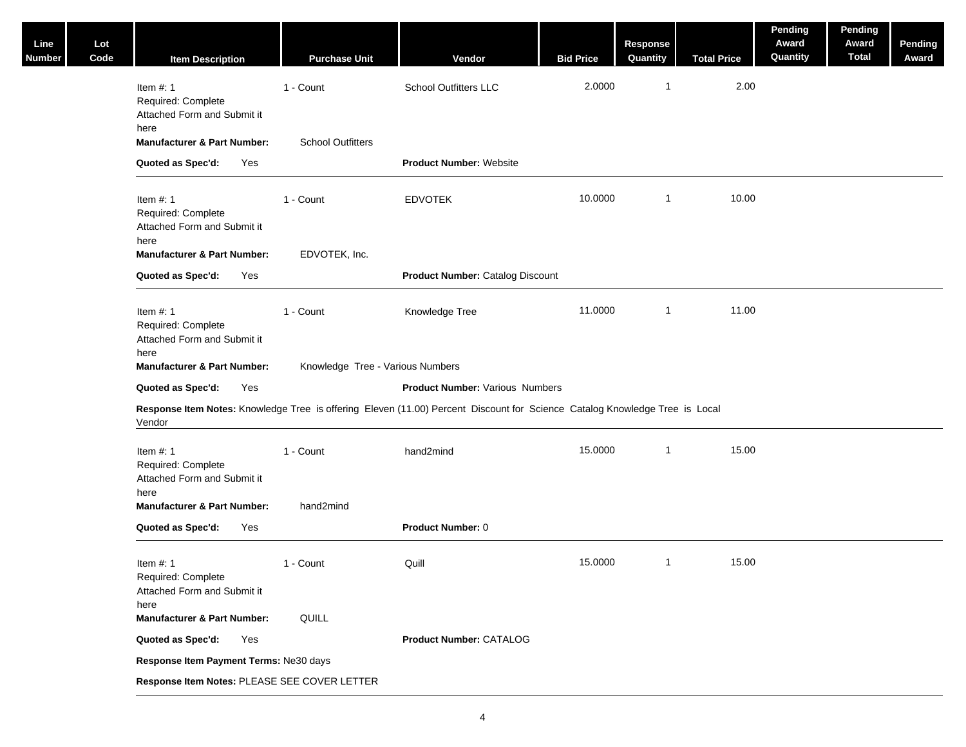| Line<br>Number | Lot<br>Code | <b>Item Description</b>                                                                                            | <b>Purchase Unit</b>                  | Vendor                                                                                                                      | <b>Bid Price</b> | <b>Response</b><br>Quantity | <b>Total Price</b> | Pending<br>Award<br>Quantity | Pending<br>Award<br><b>Total</b> | Pending<br>Award |
|----------------|-------------|--------------------------------------------------------------------------------------------------------------------|---------------------------------------|-----------------------------------------------------------------------------------------------------------------------------|------------------|-----------------------------|--------------------|------------------------------|----------------------------------|------------------|
|                |             | Item $#: 1$<br>Required: Complete<br>Attached Form and Submit it<br>here<br><b>Manufacturer &amp; Part Number:</b> | 1 - Count<br><b>School Outfitters</b> | <b>School Outfitters LLC</b>                                                                                                | 2.0000           | $\mathbf{1}$                | 2.00               |                              |                                  |                  |
|                |             | Quoted as Spec'd:<br>Yes                                                                                           |                                       | <b>Product Number: Website</b>                                                                                              |                  |                             |                    |                              |                                  |                  |
|                |             |                                                                                                                    |                                       |                                                                                                                             |                  |                             |                    |                              |                                  |                  |
|                |             | Item $#: 1$<br>Required: Complete<br>Attached Form and Submit it<br>here                                           | 1 - Count                             | <b>EDVOTEK</b>                                                                                                              | 10.0000          | $\mathbf{1}$                | 10.00              |                              |                                  |                  |
|                |             | <b>Manufacturer &amp; Part Number:</b>                                                                             | EDVOTEK, Inc.                         |                                                                                                                             |                  |                             |                    |                              |                                  |                  |
|                |             | Quoted as Spec'd:<br>Yes                                                                                           |                                       | <b>Product Number: Catalog Discount</b>                                                                                     |                  |                             |                    |                              |                                  |                  |
|                |             | Item $#: 1$<br>Required: Complete<br>Attached Form and Submit it<br>here                                           | 1 - Count                             | Knowledge Tree                                                                                                              | 11.0000          | $\mathbf{1}$                | 11.00              |                              |                                  |                  |
|                |             | <b>Manufacturer &amp; Part Number:</b>                                                                             | Knowledge Tree - Various Numbers      |                                                                                                                             |                  |                             |                    |                              |                                  |                  |
|                |             | Quoted as Spec'd:<br>Yes                                                                                           |                                       | <b>Product Number: Various Numbers</b>                                                                                      |                  |                             |                    |                              |                                  |                  |
|                |             |                                                                                                                    |                                       | Response Item Notes: Knowledge Tree is offering Eleven (11.00) Percent Discount for Science Catalog Knowledge Tree is Local |                  |                             |                    |                              |                                  |                  |
|                |             | Vendor                                                                                                             |                                       |                                                                                                                             |                  |                             |                    |                              |                                  |                  |
|                |             | Item $#: 1$<br>Required: Complete<br>Attached Form and Submit it<br>here                                           | 1 - Count                             | hand2mind                                                                                                                   | 15.0000          | $\mathbf{1}$                | 15.00              |                              |                                  |                  |
|                |             | <b>Manufacturer &amp; Part Number:</b>                                                                             | hand2mind                             |                                                                                                                             |                  |                             |                    |                              |                                  |                  |
|                |             | Quoted as Spec'd:<br>Yes                                                                                           |                                       | Product Number: 0                                                                                                           |                  |                             |                    |                              |                                  |                  |
|                |             | Item $#: 1$<br>Required: Complete<br>Attached Form and Submit it                                                   | 1 - Count                             | Quill                                                                                                                       | 15.0000          | $\mathbf{1}$                | 15.00              |                              |                                  |                  |
|                |             | here<br><b>Manufacturer &amp; Part Number:</b>                                                                     | QUILL                                 |                                                                                                                             |                  |                             |                    |                              |                                  |                  |
|                |             | Quoted as Spec'd:<br>Yes                                                                                           |                                       | Product Number: CATALOG                                                                                                     |                  |                             |                    |                              |                                  |                  |
|                |             | Response Item Payment Terms: Ne30 days                                                                             |                                       |                                                                                                                             |                  |                             |                    |                              |                                  |                  |